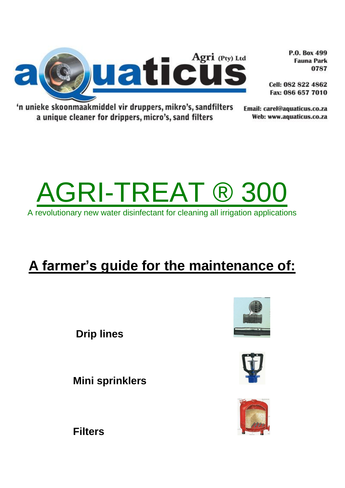

P.O. Box 499 **Fauna Park** 0787

Cell: 082 822 4862 Fax: 086 657 7010

'n unieke skoonmaakmiddel vir druppers, mikro's, sandfilters a unique cleaner for drippers, micro's, sand filters

Email: carel@aquaticus.co.za Web: www.aquaticus.co.za



A revolutionary new water disinfectant for cleaning all irrigation applications

# **A farmer's guide for the maintenance of:**

**Drip lines**

**Mini sprinklers**







**Filters**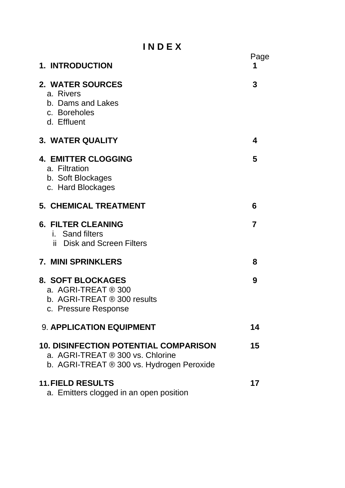**I N D E X**

| <b>1. INTRODUCTION</b>                                                                                                        | Page<br>1      |
|-------------------------------------------------------------------------------------------------------------------------------|----------------|
| 2. WATER SOURCES<br>a. Rivers<br>b. Dams and Lakes<br>c. Boreholes<br>d. Effluent                                             | 3              |
| <b>3. WATER QUALITY</b>                                                                                                       | 4              |
| <b>4. EMITTER CLOGGING</b><br>a. Filtration<br>b. Soft Blockages<br>c. Hard Blockages                                         | 5              |
| <b>5. CHEMICAL TREATMENT</b>                                                                                                  | 6              |
| <b>6. FILTER CLEANING</b><br><i>i.</i> Sand filters<br><b>Disk and Screen Filters</b><br>ii.                                  | $\overline{7}$ |
| <b>7. MINI SPRINKLERS</b>                                                                                                     | 8              |
| <b>8. SOFT BLOCKAGES</b><br>a. AGRI-TREAT ® 300<br>b. AGRI-TREAT ® 300 results<br>c. Pressure Response                        | 9              |
| <b>9. APPLICATION EQUIPMENT</b>                                                                                               | 14             |
| <b>10. DISINFECTION POTENTIAL COMPARISON</b><br>a. AGRI-TREAT ® 300 vs. Chlorine<br>b. AGRI-TREAT ® 300 vs. Hydrogen Peroxide | 15             |
| <b>11. FIELD RESULTS</b><br>a. Emitters clogged in an open position                                                           | 17             |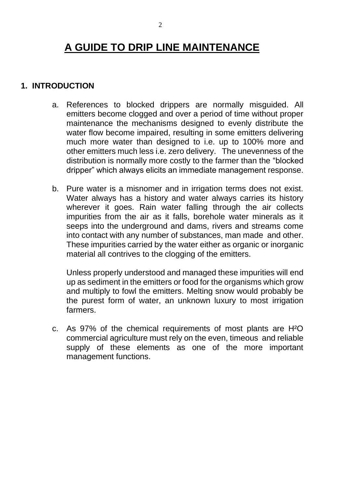# **A GUIDE TO DRIP LINE MAINTENANCE**

#### **1. INTRODUCTION**

- a. References to blocked drippers are normally misguided. All emitters become clogged and over a period of time without proper maintenance the mechanisms designed to evenly distribute the water flow become impaired, resulting in some emitters delivering much more water than designed to i.e. up to 100% more and other emitters much less i.e. zero delivery. The unevenness of the distribution is normally more costly to the farmer than the "blocked dripper" which always elicits an immediate management response.
- b. Pure water is a misnomer and in irrigation terms does not exist. Water always has a history and water always carries its history wherever it goes. Rain water falling through the air collects impurities from the air as it falls, borehole water minerals as it seeps into the underground and dams, rivers and streams come into contact with any number of substances, man made and other. These impurities carried by the water either as organic or inorganic material all contrives to the clogging of the emitters.

Unless properly understood and managed these impurities will end up as sediment in the emitters or food for the organisms which grow and multiply to fowl the emitters. Melting snow would probably be the purest form of water, an unknown luxury to most irrigation farmers.

c. As 97% of the chemical requirements of most plants are H²O commercial agriculture must rely on the even, timeous and reliable supply of these elements as one of the more important management functions.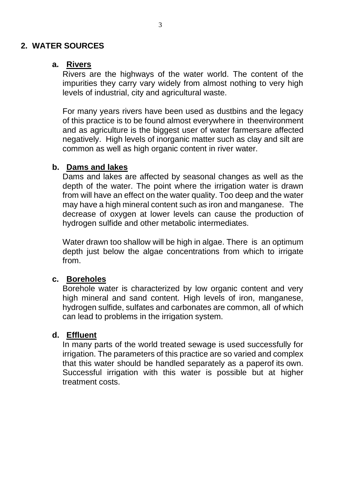#### **2. WATER SOURCES**

#### **a. Rivers**

Rivers are the highways of the water world. The content of the impurities they carry vary widely from almost nothing to very high levels of industrial, city and agricultural waste.

For many years rivers have been used as dustbins and the legacy of this practice is to be found almost everywhere in theenvironment and as agriculture is the biggest user of water farmersare affected negatively. High levels of inorganic matter such as clay and silt are common as well as high organic content in river water.

#### **b. Dams and lakes**

Dams and lakes are affected by seasonal changes as well as the depth of the water. The point where the irrigation water is drawn from will have an effect on the water quality. Too deep and the water may have a high mineral content such as iron and manganese. The decrease of oxygen at lower levels can cause the production of hydrogen sulfide and other metabolic intermediates.

Water drawn too shallow will be high in algae. There is an optimum depth just below the algae concentrations from which to irrigate from.

#### **c. Boreholes**

Borehole water is characterized by low organic content and very high mineral and sand content. High levels of iron, manganese, hydrogen sulfide, sulfates and carbonates are common, all of which can lead to problems in the irrigation system.

#### **d. Effluent**

In many parts of the world treated sewage is used successfully for irrigation. The parameters of this practice are so varied and complex that this water should be handled separately as a paperof its own. Successful irrigation with this water is possible but at higher treatment costs.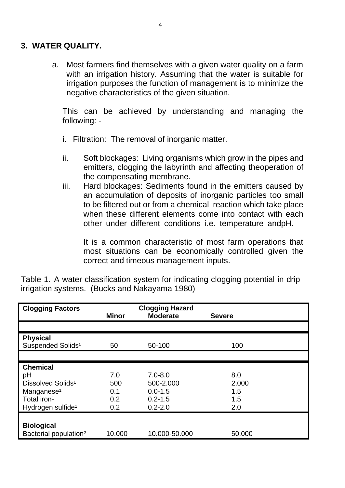#### **3. WATER QUALITY.**

a. Most farmers find themselves with a given water quality on a farm with an irrigation history. Assuming that the water is suitable for irrigation purposes the function of management is to minimize the negative characteristics of the given situation.

This can be achieved by understanding and managing the following: -

- i. Filtration: The removal of inorganic matter.
- ii. Soft blockages: Living organisms which grow in the pipes and emitters, clogging the labyrinth and affecting theoperation of the compensating membrane.
- iii. Hard blockages: Sediments found in the emitters caused by an accumulation of deposits of inorganic particles too small to be filtered out or from a chemical reaction which take place when these different elements come into contact with each other under different conditions i.e. temperature andpH.

It is a common characteristic of most farm operations that most situations can be economically controlled given the correct and timeous management inputs.

| <b>Clogging Factors</b>           |              | <b>Clogging Hazard</b> |               |
|-----------------------------------|--------------|------------------------|---------------|
|                                   | <b>Minor</b> | <b>Moderate</b>        | <b>Severe</b> |
|                                   |              |                        |               |
| <b>Physical</b>                   |              |                        |               |
| Suspended Solids <sup>1</sup>     | 50           | 50-100                 | 100           |
|                                   |              |                        |               |
| <b>Chemical</b>                   |              |                        |               |
| pH                                | 7.0          | $7.0 - 8.0$            | 8.0           |
| Dissolved Solids <sup>1</sup>     | 500          | 500-2.000              | 2.000         |
| Manganese <sup>1</sup>            | 0.1          | $0.0 - 1.5$            | 1.5           |
| Total iron <sup>1</sup>           | 0.2          | $0.2 - 1.5$            | 1.5           |
| Hydrogen sulfide <sup>1</sup>     | 0.2          | $0.2 - 2.0$            | 2.0           |
|                                   |              |                        |               |
| <b>Biological</b>                 |              |                        |               |
| Bacterial population <sup>2</sup> | 10.000       | 10.000-50.000          | 50.000        |

Table 1. A water classification system for indicating clogging potential in drip irrigation systems. (Bucks and Nakayama 1980)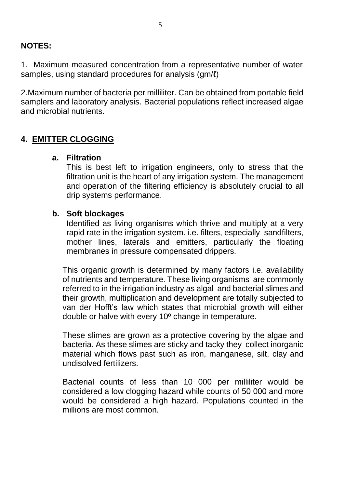## **NOTES:**

1. Maximum measured concentration from a representative number of water samples, using standard procedures for analysis (gm/ $\ell$ )

2.Maximum number of bacteria per milliliter. Can be obtained from portable field samplers and laboratory analysis. Bacterial populations reflect increased algae and microbial nutrients.

# **4. EMITTER CLOGGING**

#### **a. Filtration**

This is best left to irrigation engineers, only to stress that the filtration unit is the heart of any irrigation system. The management and operation of the filtering efficiency is absolutely crucial to all drip systems performance.

#### **b. Soft blockages**

Identified as living organisms which thrive and multiply at a very rapid rate in the irrigation system. i.e. filters, especially sandfilters, mother lines, laterals and emitters, particularly the floating membranes in pressure compensated drippers.

This organic growth is determined by many factors i.e. availability of nutrients and temperature. These living organisms are commonly referred to in the irrigation industry as algal and bacterial slimes and their growth, multiplication and development are totally subjected to van der Hofft's law which states that microbial growth will either double or halve with every 10º change in temperature.

These slimes are grown as a protective covering by the algae and bacteria. As these slimes are sticky and tacky they collect inorganic material which flows past such as iron, manganese, silt, clay and undisolved fertilizers.

Bacterial counts of less than 10 000 per milliliter would be considered a low clogging hazard while counts of 50 000 and more would be considered a high hazard. Populations counted in the millions are most common.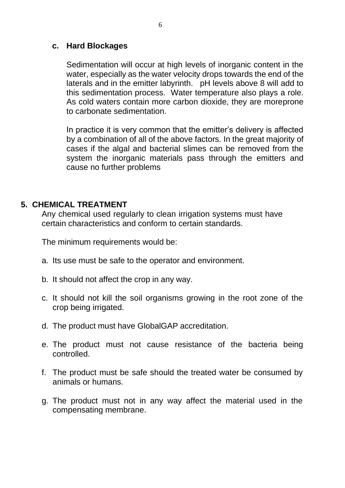#### **c. Hard Blockages**

Sedimentation will occur at high levels of inorganic content in the water, especially as the water velocity drops towards the end of the laterals and in the emitter labyrinth. pH levels above 8 will add to this sedimentation process. Water temperature also plays a role. As cold waters contain more carbon dioxide, they are moreprone to carbonate sedimentation.

In practice it is very common that the emitter's delivery is affected by a combination of all of the above factors. In the great majority of cases if the algal and bacterial slimes can be removed from the system the inorganic materials pass through the emitters and cause no further problems

#### <span id="page-6-0"></span>**5. CHEMICAL TREATMENT**

Any chemical used regularly to clean irrigation systems must have certain characteristics and conform to certain standards.

The minimum requirements would be:

- a. Its use must be safe to the operator and environment.
- b. It should not affect the crop in any way.
- c. It should not kill the soil organisms growing in the root zone of the crop being irrigated.
- d. The product must have GlobalGAP accreditation.
- e. The product must not cause resistance of the bacteria being controlled.
- f. The product must be safe should the treated water be consumed by animals or humans.
- g. The product must not in any way affect the material used in the compensating membrane.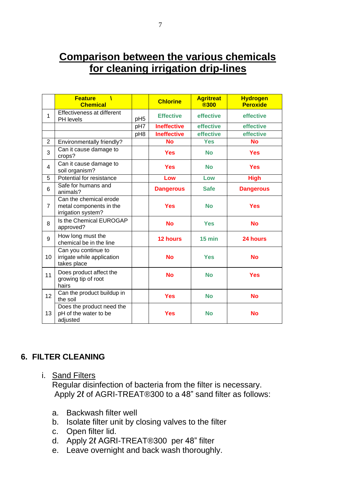# **Comparison between the various chemicals for cleaning irrigation drip-lines**

|                | <b>Feature</b><br>À<br><b>Chemical</b>                                  |                 | <b>Chlorine</b>    | <b>Agritreat</b><br><b>®300</b> | <b>Hydrogen</b><br><b>Peroxide</b> |
|----------------|-------------------------------------------------------------------------|-----------------|--------------------|---------------------------------|------------------------------------|
| 1              | Effectiveness at different<br>PH levels                                 | pH <sub>5</sub> | <b>Effective</b>   | effective                       | effective                          |
|                |                                                                         | pH7             | <b>Ineffective</b> | effective                       | effective                          |
|                |                                                                         | pH8             | <b>Ineffective</b> | effective                       | effective                          |
| $\overline{2}$ | Environmentally friendly?                                               |                 | <b>No</b>          | <b>Yes</b>                      | <b>No</b>                          |
| 3              | Can it cause damage to<br>crops?                                        |                 | <b>Yes</b>         | <b>No</b>                       | <b>Yes</b>                         |
| 4              | Can it cause damage to<br>soil organism?                                |                 | <b>Yes</b>         | <b>No</b>                       | <b>Yes</b>                         |
| 5              | Potential for resistance                                                |                 | Low                | Low                             | <b>High</b>                        |
| 6              | Safe for humans and<br>animals?                                         |                 | <b>Dangerous</b>   | <b>Safe</b>                     | <b>Dangerous</b>                   |
| 7              | Can the chemical erode<br>metal components in the<br>irrigation system? |                 | <b>Yes</b>         | <b>No</b>                       | <b>Yes</b>                         |
| 8              | Is the Chemical EUROGAP<br>approved?                                    |                 | <b>No</b>          | <b>Yes</b>                      | <b>No</b>                          |
| 9              | How long must the<br>chemical be in the line                            |                 | <b>12 hours</b>    | $15$ min                        | 24 hours                           |
| 10             | Can you continue to<br>irrigate while application<br>takes place        |                 | <b>No</b>          | <b>Yes</b>                      | <b>No</b>                          |
| 11             | Does product affect the<br>growing tip of root<br>hairs                 |                 | <b>No</b>          | <b>No</b>                       | <b>Yes</b>                         |
| 12             | Can the product buildup in<br>the soil                                  |                 | <b>Yes</b>         | <b>No</b>                       | <b>No</b>                          |
| 13             | Does the product need the<br>pH of the water to be<br>adjusted          |                 | <b>Yes</b>         | <b>No</b>                       | <b>No</b>                          |

# <span id="page-7-0"></span>**6. FILTER CLEANING**

#### i. Sand Filters

Regular disinfection of bacteria from the filter is necessary. Apply 2ℓ of AGRI-TREAT®300 to a 48" sand filter as follows:

- a. Backwash filter well
- b. Isolate filter unit by closing valves to the filter
- c. Open filter lid.
- d. Apply 2ℓ AGRI-TREAT®300 per 48" filter
- e. Leave overnight and back wash thoroughly.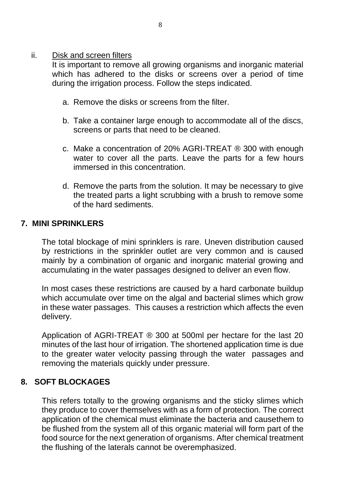#### ii. Disk and screen filters

It is important to remove all growing organisms and inorganic material which has adhered to the disks or screens over a period of time during the irrigation process. Follow the steps indicated.

- a. Remove the disks or screens from the filter.
- b. Take a container large enough to accommodate all of the discs, screens or parts that need to be cleaned.
- c. Make a concentration of 20% AGRI-TREAT ® 300 with enough water to cover all the parts. Leave the parts for a few hours immersed in this concentration.
- d. Remove the parts from the solution. It may be necessary to give the treated parts a light scrubbing with a brush to remove some of the hard sediments.

#### <span id="page-8-0"></span>**7. MINI SPRINKLERS**

The total blockage of mini sprinklers is rare. Uneven distribution caused by restrictions in the sprinkler outlet are very common and is caused mainly by a combination of organic and inorganic material growing and accumulating in the water passages designed to deliver an even flow.

In most cases these restrictions are caused by a hard carbonate buildup which accumulate over time on the algal and bacterial slimes which grow in these water passages. This causes a restriction which affects the even delivery.

Application of AGRI-TREAT ® 300 at 500ml per hectare for the last 20 minutes of the last hour of irrigation. The shortened application time is due to the greater water velocity passing through the water passages and removing the materials quickly under pressure.

#### <span id="page-8-1"></span>**8. SOFT BLOCKAGES**

This refers totally to the growing organisms and the sticky slimes which they produce to cover themselves with as a form of protection. The correct application of the chemical must eliminate the bacteria and causethem to be flushed from the system all of this organic material will form part of the food source for the next generation of organisms. After chemical treatment the flushing of the laterals cannot be overemphasized.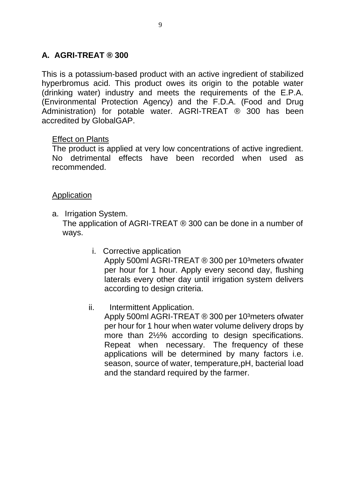# **A. AGRI-TREAT ® 300**

This is a potassium-based product with an active ingredient of stabilized hyperbromus acid. This product owes its origin to the potable water (drinking water) industry and meets the requirements of the E.P.A. (Environmental Protection Agency) and the F.D.A. (Food and Drug Administration) for potable water. AGRI-TREAT ® 300 has been accredited by GlobalGAP.

#### Effect on Plants

The product is applied at very low concentrations of active ingredient. No detrimental effects have been recorded when used as recommended.

#### Application

- a. Irrigation System. The application of AGRI-TREAT ® 300 can be done in a number of ways.
	- i. Corrective application Apply 500ml AGRI-TREAT ® 300 per 10<sup>3</sup>meters ofwater per hour for 1 hour. Apply every second day, flushing laterals every other day until irrigation system delivers according to design criteria.
	- ii. Intermittent Application.

Apply 500ml AGRI-TREAT ® 300 per 10<sup>3</sup>meters ofwater per hour for 1 hour when water volume delivery drops by more than 2½% according to design specifications. Repeat when necessary. The frequency of these applications will be determined by many factors i.e. season, source of water, temperature,pH, bacterial load and the standard required by the farmer.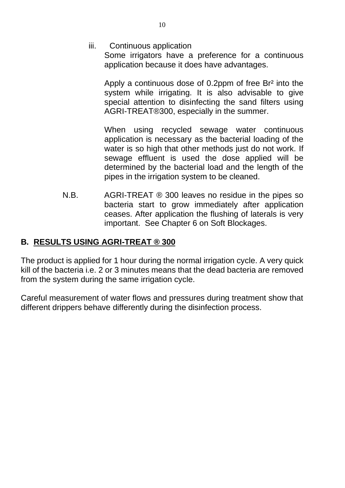iii. Continuous application

Some irrigators have a preference for a continuous application because it does have advantages.

Apply a continuous dose of 0.2ppm of free Br² into the system while irrigating. It is also advisable to give special attention to disinfecting the sand filters using AGRI-TREAT®300, especially in the summer.

When using recycled sewage water continuous application is necessary as the bacterial loading of the water is so high that other methods just do not work. If sewage effluent is used the dose applied will be determined by the bacterial load and the length of the pipes in the irrigation system to be cleaned.

N.B. AGRI-TREAT ® 300 leaves no residue in the pipes so bacteria start to grow immediately after application ceases. After application the flushing of laterals is very important. See Chapter 6 on Soft Blockages.

# **B. RESULTS USING AGRI-TREAT ® 300**

The product is applied for 1 hour during the normal irrigation cycle. A very quick kill of the bacteria i.e. 2 or 3 minutes means that the dead bacteria are removed from the system during the same irrigation cycle.

Careful measurement of water flows and pressures during treatment show that different drippers behave differently during the disinfection process.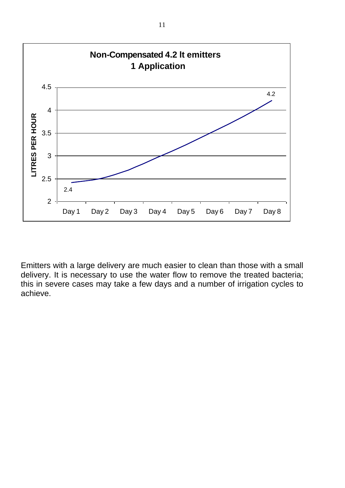

Emitters with a large delivery are much easier to clean than those with a small delivery. It is necessary to use the water flow to remove the treated bacteria; this in severe cases may take a few days and a number of irrigation cycles to achieve.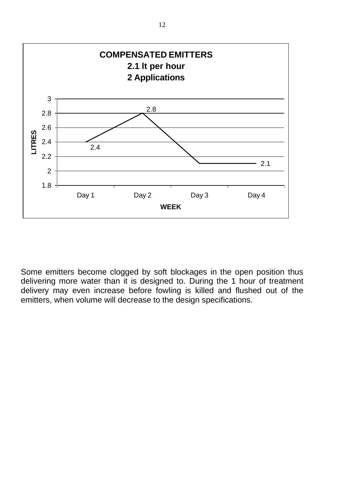

Some emitters become clogged by soft blockages in the open position thus delivering more water than it is designed to. During the 1 hour of treatment delivery may even increase before fowling is killed and flushed out of the emitters, when volume will decrease to the design specifications.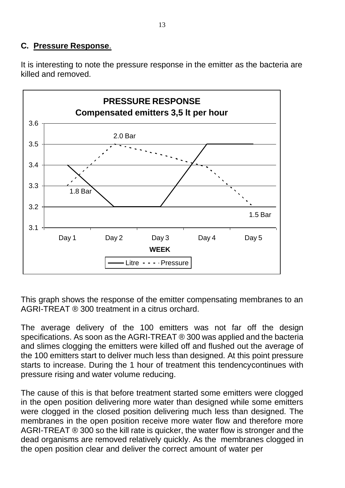# **C. Pressure Response**.

It is interesting to note the pressure response in the emitter as the bacteria are killed and removed.



This graph shows the response of the emitter compensating membranes to an AGRI-TREAT ® 300 treatment in a citrus orchard.

The average delivery of the 100 emitters was not far off the design specifications. As soon as the AGRI-TREAT ® 300 was applied and the bacteria and slimes clogging the emitters were killed off and flushed out the average of the 100 emitters start to deliver much less than designed. At this point pressure starts to increase. During the 1 hour of treatment this tendencycontinues with pressure rising and water volume reducing.

The cause of this is that before treatment started some emitters were clogged in the open position delivering more water than designed while some emitters were clogged in the closed position delivering much less than designed. The membranes in the open position receive more water flow and therefore more AGRI-TREAT  $\odot$  300 so the kill rate is quicker, the water flow is stronger and the dead organisms are removed relatively quickly. As the membranes clogged in the open position clear and deliver the correct amount of water per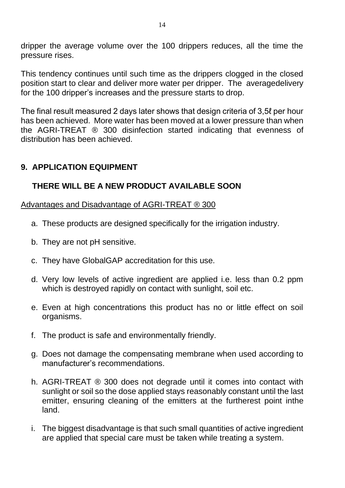dripper the average volume over the 100 drippers reduces, all the time the pressure rises.

This tendency continues until such time as the drippers clogged in the closed position start to clear and deliver more water per dripper. The averagedelivery for the 100 dripper's increases and the pressure starts to drop.

The final result measured 2 days later shows that design criteria of 3,5ℓ per hour has been achieved. More water has been moved at a lower pressure than when the AGRI-TREAT ® 300 disinfection started indicating that evenness of distribution has been achieved.

## **9. APPLICATION EQUIPMENT**

# **THERE WILL BE A NEW PRODUCT AVAILABLE SOON**

Advantages and Disadvantage of AGRI-TREAT ® 300

- a. These products are designed specifically for the irrigation industry.
- b. They are not pH sensitive.
- c. They have GlobalGAP accreditation for this use.
- d. Very low levels of active ingredient are applied i.e. less than 0.2 ppm which is destroyed rapidly on contact with sunlight, soil etc.
- e. Even at high concentrations this product has no or little effect on soil organisms.
- f. The product is safe and environmentally friendly.
- g. Does not damage the compensating membrane when used according to manufacturer's recommendations.
- h. AGRI-TREAT ® 300 does not degrade until it comes into contact with sunlight or soil so the dose applied stays reasonably constant until the last emitter, ensuring cleaning of the emitters at the furtherest point inthe land.
- i. The biggest disadvantage is that such small quantities of active ingredient are applied that special care must be taken while treating a system.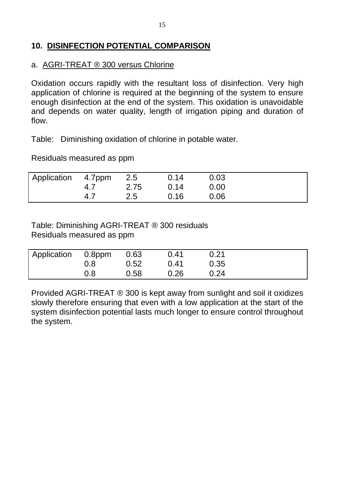# **10. DISINFECTION POTENTIAL COMPARISON**

#### a. AGRI-TREAT ® 300 versus Chlorine

Oxidation occurs rapidly with the resultant loss of disinfection. Very high application of chlorine is required at the beginning of the system to ensure enough disinfection at the end of the system. This oxidation is unavoidable and depends on water quality, length of irrigation piping and duration of flow.

Table: Diminishing oxidation of chlorine in potable water.

Residuals measured as ppm

| Application 4.7ppm 2.5 |     |      | 0.14 | 0.03 |  |
|------------------------|-----|------|------|------|--|
|                        | 4.7 | 2.75 | 0.14 | 0.00 |  |
|                        | 4.7 | 2.5  | 0.16 | 0.06 |  |

Table: Diminishing AGRI-TREAT ® 300 residuals Residuals measured as ppm

| Application 0.8ppm 0.63 |     |      | 0.41 | 0.21 |  |
|-------------------------|-----|------|------|------|--|
|                         | 0.8 | 0.52 | 0.41 | 0.35 |  |
|                         | 0.8 | 0.58 | 0.26 | 0.24 |  |

Provided AGRI-TREAT ® 300 is kept away from sunlight and soil it oxidizes slowly therefore ensuring that even with a low application at the start of the system disinfection potential lasts much longer to ensure control throughout the system.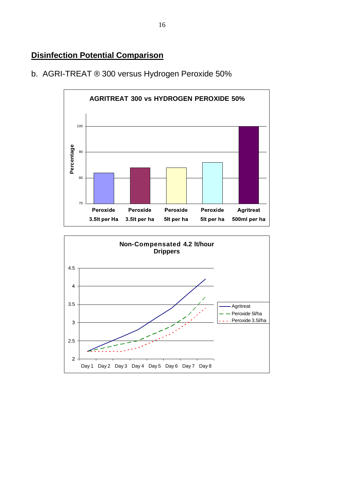# **Disinfection Potential Comparison**





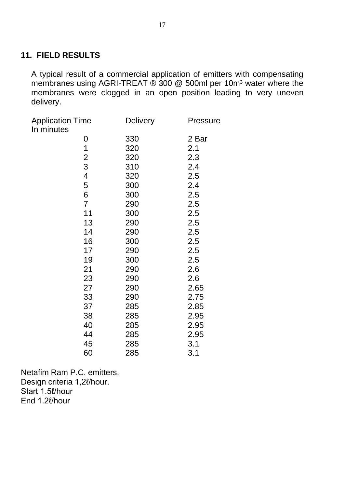# **11. FIELD RESULTS**

A typical result of a commercial application of emitters with compensating membranes using AGRI-TREAT ® 300 @ 500ml per 10m<sup>3</sup> water where the membranes were clogged in an open position leading to very uneven delivery.

| <b>Application Time</b><br>In minutes | <b>Delivery</b> | <b>Pressure</b> |
|---------------------------------------|-----------------|-----------------|
| $\mathbf 0$                           | 330             | 2 Bar           |
| 1                                     | 320             | 2.1             |
| $\overline{c}$                        | 320             | 2.3             |
| 3                                     | 310             | 2.4             |
| $\overline{\mathbf{4}}$               | 320             | 2.5             |
| 5                                     | 300             | 2.4             |
| 6                                     | 300             | 2.5             |
| $\overline{7}$                        | 290             | 2.5             |
| 11                                    | 300             | 2.5             |
| 13                                    | 290             | 2.5             |
| 14                                    | 290             | 2.5             |
| 16                                    | 300             | 2.5             |
| 17                                    | 290             | 2.5             |
| 19                                    | 300             | 2.5             |
| 21                                    | 290             | 2.6             |
| 23                                    | 290             | 2.6             |
| 27                                    | 290             | 2.65            |
| 33                                    | 290             | 2.75            |
| 37                                    | 285             | 2.85            |
| 38                                    | 285             | 2.95            |
| 40                                    | 285             | 2.95            |
| 44                                    | 285             | 2.95            |
| 45                                    | 285             | 3.1             |
| 60                                    | 285             | 3.1             |

Netafim Ram P.C. emitters. Design criteria 1,2l/hour. Start 1.5ℓ/hour End 1.2ℓ/hour